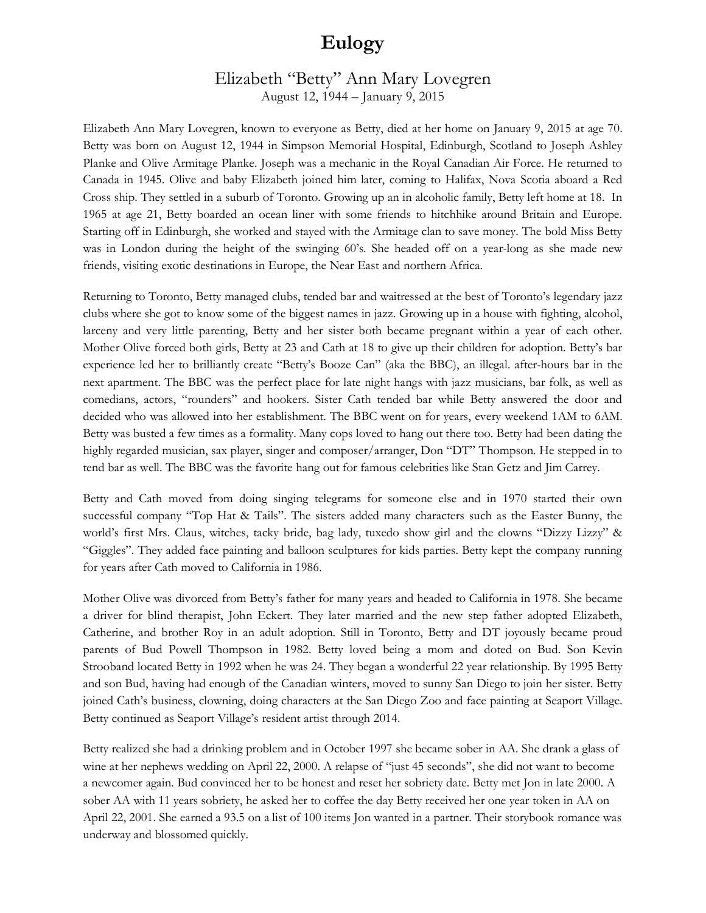## **Eulogy**

## Elizabeth "Betty" Ann Mary Lovegren August 12, 1944 – January 9, 2015

Elizabeth Ann Mary Lovegren, known to everyone as Betty, died at her home on January 9, 2015 at age 70. Betty was born on August 12, 1944 in Simpson Memorial Hospital, Edinburgh, Scotland to Joseph Ashley Planke and Olive Armitage Planke. Joseph was a mechanic in the Royal Canadian Air Force. He returned to Canada in 1945. Olive and baby Elizabeth joined him later, coming to Halifax, Nova Scotia aboard a Red Cross ship. They settled in a suburb of Toronto. Growing up an in alcoholic family, Betty left home at 18. In 1965 at age 21, Betty boarded an ocean liner with some friends to hitchhike around Britain and Europe. Starting off in Edinburgh, she worked and stayed with the Armitage clan to save money. The bold Miss Betty was in London during the height of the swinging 60's. She headed off on a year-long as she made new friends, visiting exotic destinations in Europe, the Near East and northern Africa.

Returning to Toronto, Betty managed clubs, tended bar and waitressed at the best of Toronto's legendary jazz clubs where she got to know some of the biggest names in jazz. Growing up in a house with fighting, alcohol, larceny and very little parenting, Betty and her sister both became pregnant within a year of each other. Mother Olive forced both girls, Betty at 23 and Cath at 18 to give up their children for adoption. Betty's bar experience led her to brilliantly create "Betty's Booze Can" (aka the BBC), an illegal. after-hours bar in the next apartment. The BBC was the perfect place for late night hangs with jazz musicians, bar folk, as well as comedians, actors, "rounders" and hookers. Sister Cath tended bar while Betty answered the door and decided who was allowed into her establishment. The BBC went on for years, every weekend 1AM to 6AM. Betty was busted a few times as a formality. Many cops loved to hang out there too. Betty had been dating the highly regarded musician, sax player, singer and composer/arranger, Don "DT" Thompson. He stepped in to tend bar as well. The BBC was the favorite hang out for famous celebrities like Stan Getz and Jim Carrey.

Betty and Cath moved from doing singing telegrams for someone else and in 1970 started their own successful company "Top Hat & Tails". The sisters added many characters such as the Easter Bunny, the world's first Mrs. Claus, witches, tacky bride, bag lady, tuxedo show girl and the clowns "Dizzy Lizzy" & "Giggles". They added face painting and balloon sculptures for kids parties. Betty kept the company running for years after Cath moved to California in 1986.

Mother Olive was divorced from Betty's father for many years and headed to California in 1978. She became a driver for blind therapist, John Eckert. They later married and the new step father adopted Elizabeth, Catherine, and brother Roy in an adult adoption. Still in Toronto, Betty and DT joyously became proud parents of Bud Powell Thompson in 1982. Betty loved being a mom and doted on Bud. Son Kevin Strooband located Betty in 1992 when he was 24. They began a wonderful 22 year relationship. By 1995 Betty and son Bud, having had enough of the Canadian winters, moved to sunny San Diego to join her sister. Betty joined Cath's business, clowning, doing characters at the San Diego Zoo and face painting at Seaport Village. Betty continued as Seaport Village's resident artist through 2014.

Betty realized she had a drinking problem and in October 1997 she became sober in AA. She drank a glass of wine at her nephews wedding on April 22, 2000. A relapse of "just 45 seconds", she did not want to become a newcomer again. Bud convinced her to be honest and reset her sobriety date. Betty met Jon in late 2000. A sober AA with 11 years sobriety, he asked her to coffee the day Betty received her one year token in AA on April 22, 2001. She earned a 93.5 on a list of 100 items Jon wanted in a partner. Their storybook romance was underway and blossomed quickly.